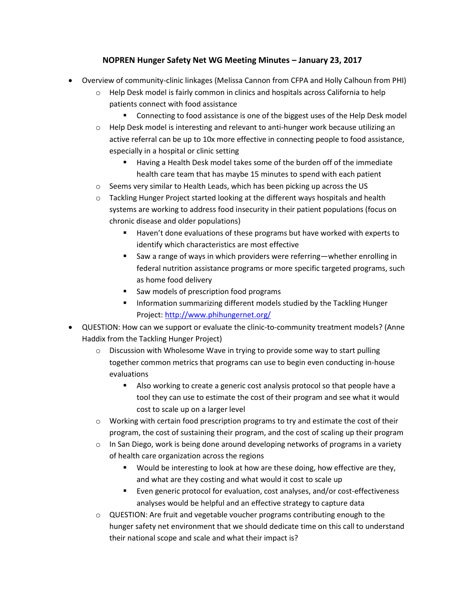## **NOPREN Hunger Safety Net WG Meeting Minutes – January 23, 2017**

- Overview of community-clinic linkages (Melissa Cannon from CFPA and Holly Calhoun from PHI)
	- $\circ$  Help Desk model is fairly common in clinics and hospitals across California to help patients connect with food assistance
		- Connecting to food assistance is one of the biggest uses of the Help Desk model
	- $\circ$  Help Desk model is interesting and relevant to anti-hunger work because utilizing an active referral can be up to 10x more effective in connecting people to food assistance, especially in a hospital or clinic setting
		- Having a Health Desk model takes some of the burden off of the immediate health care team that has maybe 15 minutes to spend with each patient
	- $\circ$  Seems very similar to Health Leads, which has been picking up across the US
	- o Tackling Hunger Project started looking at the different ways hospitals and health systems are working to address food insecurity in their patient populations (focus on chronic disease and older populations)
		- Haven't done evaluations of these programs but have worked with experts to identify which characteristics are most effective
		- Saw a range of ways in which providers were referring—whether enrolling in federal nutrition assistance programs or more specific targeted programs, such as home food delivery
		- **Saw models of prescription food programs**
		- **Information summarizing different models studied by the Tackling Hunger** Project:<http://www.phihungernet.org/>
- QUESTION: How can we support or evaluate the clinic-to-community treatment models? (Anne Haddix from the Tackling Hunger Project)
	- o Discussion with Wholesome Wave in trying to provide some way to start pulling together common metrics that programs can use to begin even conducting in-house evaluations
		- Also working to create a generic cost analysis protocol so that people have a tool they can use to estimate the cost of their program and see what it would cost to scale up on a larger level
	- $\circ$  Working with certain food prescription programs to try and estimate the cost of their program, the cost of sustaining their program, and the cost of scaling up their program
	- $\circ$  In San Diego, work is being done around developing networks of programs in a variety of health care organization across the regions
		- **Would be interesting to look at how are these doing, how effective are they,** and what are they costing and what would it cost to scale up
		- Even generic protocol for evaluation, cost analyses, and/or cost-effectiveness analyses would be helpful and an effective strategy to capture data
	- $\circ$  QUESTION: Are fruit and vegetable voucher programs contributing enough to the hunger safety net environment that we should dedicate time on this call to understand their national scope and scale and what their impact is?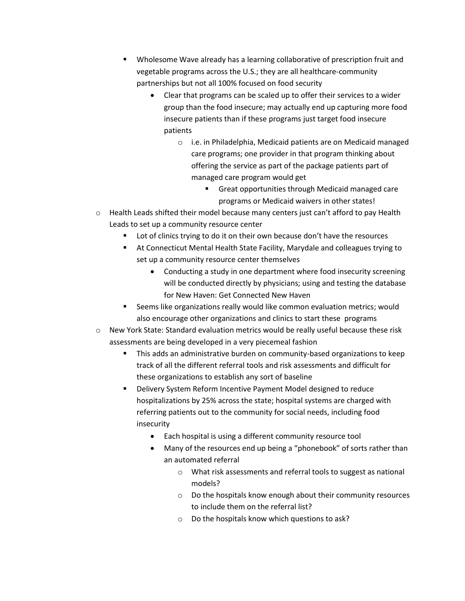- Wholesome Wave already has a learning collaborative of prescription fruit and vegetable programs across the U.S.; they are all healthcare-community partnerships but not all 100% focused on food security
	- Clear that programs can be scaled up to offer their services to a wider group than the food insecure; may actually end up capturing more food insecure patients than if these programs just target food insecure patients
		- o i.e. in Philadelphia, Medicaid patients are on Medicaid managed care programs; one provider in that program thinking about offering the service as part of the package patients part of managed care program would get
			- **Great opportunities through Medicaid managed care** programs or Medicaid waivers in other states!
- $\circ$  Health Leads shifted their model because many centers just can't afford to pay Health Leads to set up a community resource center
	- Lot of clinics trying to do it on their own because don't have the resources
	- At Connecticut Mental Health State Facility, Marydale and colleagues trying to set up a community resource center themselves
		- Conducting a study in one department where food insecurity screening will be conducted directly by physicians; using and testing the database for New Haven: Get Connected New Haven
	- Seems like organizations really would like common evaluation metrics; would also encourage other organizations and clinics to start these programs
- $\circ$  New York State: Standard evaluation metrics would be really useful because these risk assessments are being developed in a very piecemeal fashion
	- This adds an administrative burden on community-based organizations to keep track of all the different referral tools and risk assessments and difficult for these organizations to establish any sort of baseline
	- Delivery System Reform Incentive Payment Model designed to reduce hospitalizations by 25% across the state; hospital systems are charged with referring patients out to the community for social needs, including food insecurity
		- Each hospital is using a different community resource tool
		- Many of the resources end up being a "phonebook" of sorts rather than an automated referral
			- o What risk assessments and referral tools to suggest as national models?
			- o Do the hospitals know enough about their community resources to include them on the referral list?
			- o Do the hospitals know which questions to ask?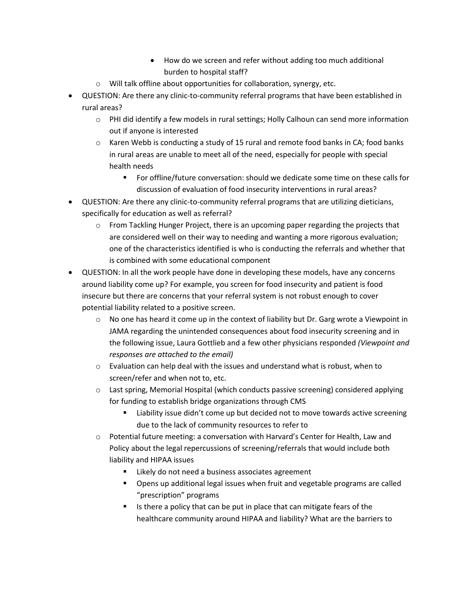- How do we screen and refer without adding too much additional burden to hospital staff?
- o Will talk offline about opportunities for collaboration, synergy, etc.
- QUESTION: Are there any clinic-to-community referral programs that have been established in rural areas?
	- $\circ$  PHI did identify a few models in rural settings; Holly Calhoun can send more information out if anyone is interested
	- $\circ$  Karen Webb is conducting a study of 15 rural and remote food banks in CA; food banks in rural areas are unable to meet all of the need, especially for people with special health needs
		- For offline/future conversation: should we dedicate some time on these calls for discussion of evaluation of food insecurity interventions in rural areas?
- QUESTION: Are there any clinic-to-community referral programs that are utilizing dieticians, specifically for education as well as referral?
	- $\circ$  From Tackling Hunger Project, there is an upcoming paper regarding the projects that are considered well on their way to needing and wanting a more rigorous evaluation; one of the characteristics identified is who is conducting the referrals and whether that is combined with some educational component
- QUESTION: In all the work people have done in developing these models, have any concerns around liability come up? For example, you screen for food insecurity and patient is food insecure but there are concerns that your referral system is not robust enough to cover potential liability related to a positive screen.
	- $\circ$  No one has heard it come up in the context of liability but Dr. Garg wrote a Viewpoint in JAMA regarding the unintended consequences about food insecurity screening and in the following issue, Laura Gottlieb and a few other physicians responded *(Viewpoint and responses are attached to the email)*
	- $\circ$  Evaluation can help deal with the issues and understand what is robust, when to screen/refer and when not to, etc.
	- $\circ$  Last spring, Memorial Hospital (which conducts passive screening) considered applying for funding to establish bridge organizations through CMS
		- **EXECT** Liability issue didn't come up but decided not to move towards active screening due to the lack of community resources to refer to
	- $\circ$  Potential future meeting: a conversation with Harvard's Center for Health, Law and Policy about the legal repercussions of screening/referrals that would include both liability and HIPAA issues
		- Likely do not need a business associates agreement
		- **Dens up additional legal issues when fruit and vegetable programs are called** "prescription" programs
		- Is there a policy that can be put in place that can mitigate fears of the healthcare community around HIPAA and liability? What are the barriers to